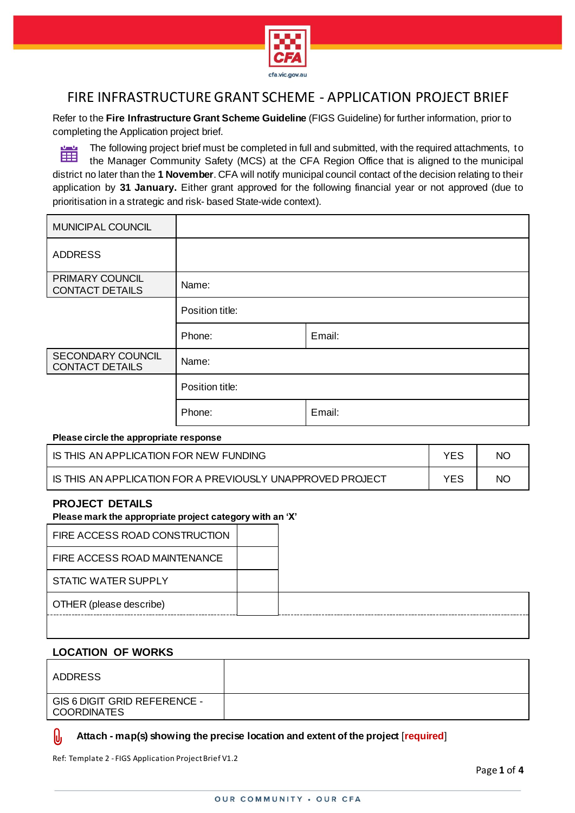

Refer to the **Fire Infrastructure Grant Scheme Guideline** (FIGS Guideline) for further information, prior to completing the Application project brief.

當 The following project brief must be completed in full and submitted, with the required attachments, to the Manager Community Safety (MCS) at the CFA Region Office that is aligned to the municipal district no later than the **1 November**. CFA will notify municipal council contact of the decision relating to their application by **31 January.** Either grant approved for the following financial year or not approved (due to prioritisation in a strategic and risk- based State-wide context).

| MUNICIPAL COUNCIL                                |                 |        |
|--------------------------------------------------|-----------------|--------|
| <b>ADDRESS</b>                                   |                 |        |
| <b>PRIMARY COUNCIL</b><br><b>CONTACT DETAILS</b> | Name:           |        |
|                                                  | Position title: |        |
|                                                  | Phone:          | Email: |
| SECONDARY COUNCIL<br><b>CONTACT DETAILS</b>      | Name:           |        |
|                                                  | Position title: |        |
|                                                  | Phone:          | Email: |

#### **Please circle the appropriate response**

| IS THIS AN APPLICATION FOR NEW FUNDING                     | NC. |
|------------------------------------------------------------|-----|
| IS THIS AN APPLICATION FOR A PREVIOUSLY UNAPPROVED PROJECT | NC. |

### **PROJECT DETAILS**

#### **Please mark the appropriate project category with an 'X'**

| FIRE ACCESS ROAD CONSTRUCTION |  |
|-------------------------------|--|
| FIRE ACCESS ROAD MAINTENANCE  |  |
| <b>STATIC WATER SUPPLY</b>    |  |
| OTHER (please describe)       |  |
|                               |  |

# **LOCATION OF WORKS**

| ADDRESS                                            |  |
|----------------------------------------------------|--|
| GIS 6 DIGIT GRID REFERENCE -<br><b>COORDINATES</b> |  |

#### IJ **Attach - map(s) showing the precise location and extent of the project** [**required**]

Ref: Template 2 - FIGS Application Project Brief V1.2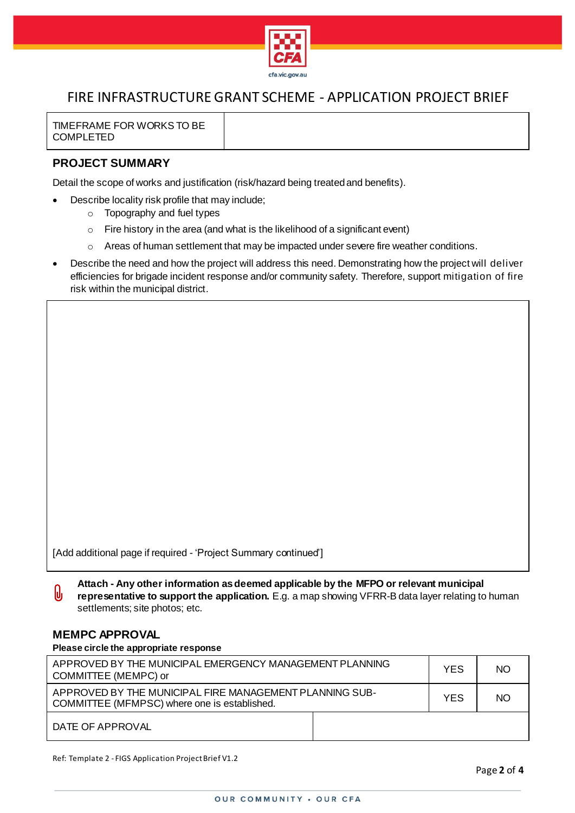

TIMEFRAME FOR WORKS TO BE COMPLETED

# **PROJECT SUMMARY**

Detail the scope of works and justification (risk/hazard being treated and benefits).

- Describe locality risk profile that may include;
	- o Topography and fuel types
	- o Fire history in the area (and what is the likelihood of a significant event)
	- $\circ$  Areas of human settlement that may be impacted under severe fire weather conditions.
- Describe the need and how the project will address this need. Demonstrating how the project will deliver efficiencies for brigade incident response and/or community safety. Therefore, support mitigation of fire risk within the municipal district.

[Add additional page if required - 'Project Summary continued']

**Attach - Any other information as deemed applicable by the MFPO or relevant municipal**   $\theta$ **representative to support the application.** E.g. a map showing VFRR-B data layer relating to human settlements; site photos; etc.

# **MEMPC APPROVAL**

### **Please circle the appropriate response**

| APPROVED BY THE MUNICIPAL EMERGENCY MANAGEMENT PLANNING<br>COMMITTEE (MEMPC) or                         |  | <b>YES</b> | <b>NO</b> |
|---------------------------------------------------------------------------------------------------------|--|------------|-----------|
| APPROVED BY THE MUNICIPAL FIRE MANAGEMENT PLANNING SUB-<br>COMMITTEE (MFMPSC) where one is established. |  | <b>YES</b> | <b>NO</b> |
| DATE OF APPROVAL                                                                                        |  |            |           |

Ref: Template 2 - FIGS Application Project Brief V1.2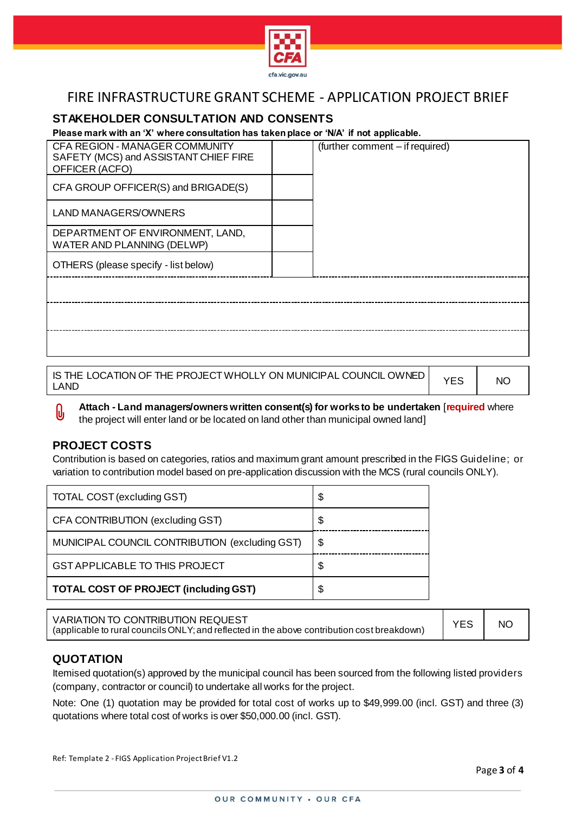

# **STAKEHOLDER CONSULTATION AND CONSENTS**

### **Please mark with an 'X' where consultation has taken place or 'N/A' if not applicable.**

| CFA REGION - MANAGER COMMUNITY<br>SAFETY (MCS) and ASSISTANT CHIEF FIRE<br>OFFICER (ACFO) | (further comment - if required) |
|-------------------------------------------------------------------------------------------|---------------------------------|
| CFA GROUP OFFICER(S) and BRIGADE(S)                                                       |                                 |
| LAND MANAGERS/OWNERS                                                                      |                                 |
| DEPARTMENT OF ENVIRONMENT, LAND,<br>WATER AND PLANNING (DELWP)                            |                                 |
| OTHERS (please specify - list below)                                                      |                                 |
|                                                                                           |                                 |
|                                                                                           |                                 |
|                                                                                           |                                 |
|                                                                                           |                                 |

IS THE LOCATION OF THE PROJECT WHOLLY ON MUNICIPAL COUNCIL OWNED  $\begin{pmatrix} \gamma_{\rm{ES}} \end{pmatrix}$  NO

**Attach - Land managers/owners written consent(s) for works to be undertaken** [**required** where  $\theta$ the project will enter land or be located on land other than municipal owned land]

# **PROJECT COSTS**

Contribution is based on categories, ratios and maximum grant amount prescribed in the FIGS Guideline; or variation to contribution model based on pre-application discussion with the MCS (rural councils ONLY).

| TOTAL COST (excluding GST)                     | \$ |
|------------------------------------------------|----|
| CFA CONTRIBUTION (excluding GST)               | \$ |
| MUNICIPAL COUNCIL CONTRIBUTION (excluding GST) | \$ |
| <b>GST APPLICABLE TO THIS PROJECT</b>          |    |
| <b>TOTAL COST OF PROJECT (including GST)</b>   |    |

| VARIATION TO CONTRIBUTION REQUEST<br>(applicable to rural councils ONLY; and reflected in the above contribution cost breakdown) | YES | NO <sub>1</sub> |
|----------------------------------------------------------------------------------------------------------------------------------|-----|-----------------|
|----------------------------------------------------------------------------------------------------------------------------------|-----|-----------------|

# **QUOTATION**

Itemised quotation(s) approved by the municipal council has been sourced from the following listed providers (company, contractor or council) to undertake all works for the project.

Note: One (1) quotation may be provided for total cost of works up to \$49,999.00 (incl. GST) and three (3) quotations where total cost of works is over \$50,000.00 (incl. GST).

Ref: Template 2 - FIGS Application Project Brief V1.2